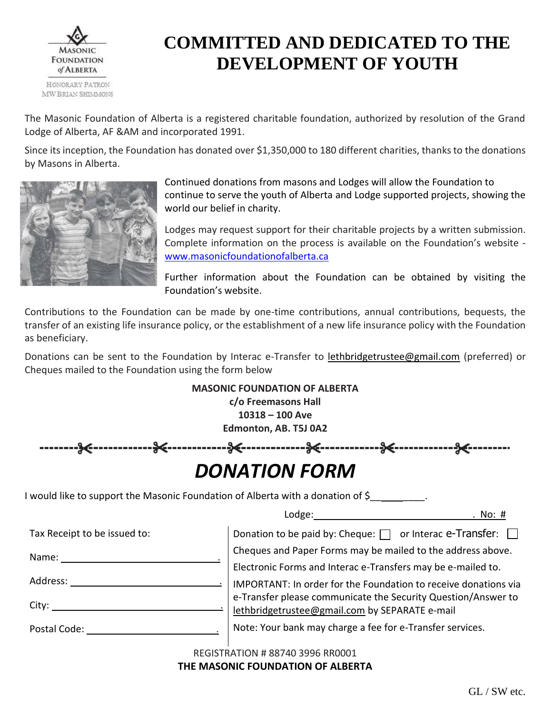

## **COMMITTED AND DEDICATED TO THE DEVELOPMENT OF YOUTH**

The Masonic Foundation of Alberta is a registered charitable foundation, authorized by resolution of the Grand Lodge of Alberta, AF &AM and incorporated 1991.

Since its inception, the Foundation has donated over \$1,350,000 to 180 different charities, thanks to the donations by Masons in Alberta.



Continued donations from masons and Lodges will allow the Foundation to continue to serve the youth of Alberta and Lodge supported projects, showing the world our belief in charity.

Lodges may request support for their charitable projects by a written submission. Complete information on the process is available on the Foundation's website [www.masonicfoundationofalberta.ca](http://www.masonicfoundationofalberta.ca/)

Further information about the Foundation can be obtained by visiting the Foundation's website.

Contributions to the Foundation can be made by one-time contributions, annual contributions, bequests, the transfer of an existing life insurance policy, or the establishment of a new life insurance policy with the Foundation as beneficiary.

Donations can be sent to the Foundation by Interac e-Transfer to lethbridgetrustee@gmail.com (preferred) or Cheques mailed to the Foundation using the form below

|                                                                                                                                                                                                                                | c/o Freemasons Hall<br>$10318 - 100$ Ave<br>Edmonton, AB. T5J 0A2 | <b>MASONIC FOUNDATION OF ALBERTA</b> |                                                           |                                                                      |
|--------------------------------------------------------------------------------------------------------------------------------------------------------------------------------------------------------------------------------|-------------------------------------------------------------------|--------------------------------------|-----------------------------------------------------------|----------------------------------------------------------------------|
| ---36----                                                                                                                                                                                                                      |                                                                   | %<%<%<                               |                                                           |                                                                      |
|                                                                                                                                                                                                                                |                                                                   | <b>DONATION FORM</b>                 |                                                           |                                                                      |
| I would like to support the Masonic Foundation of Alberta with a donation of $\zeta$ _____________.                                                                                                                            |                                                                   |                                      |                                                           |                                                                      |
|                                                                                                                                                                                                                                |                                                                   |                                      |                                                           | . No: #                                                              |
| Tax Receipt to be issued to:                                                                                                                                                                                                   |                                                                   |                                      |                                                           | Donation to be paid by: Cheque: $\Box$ or Interac e-Transfer: $\Box$ |
|                                                                                                                                                                                                                                | Cheques and Paper Forms may be mailed to the address above.       |                                      |                                                           |                                                                      |
|                                                                                                                                                                                                                                | Electronic Forms and Interac e-Transfers may be e-mailed to.      |                                      |                                                           |                                                                      |
| Address: Analysis and the set of the set of the set of the set of the set of the set of the set of the set of the set of the set of the set of the set of the set of the set of the set of the set of the set of the set of th | IMPORTANT: In order for the Foundation to receive donations via   |                                      |                                                           |                                                                      |
| City:                                                                                                                                                                                                                          |                                                                   |                                      | lethbridgetrustee@gmail.com by SEPARATE e-mail            | e-Transfer please communicate the Security Question/Answer to        |
| Postal Code: Notelland Code:                                                                                                                                                                                                   |                                                                   |                                      | Note: Your bank may charge a fee for e-Transfer services. |                                                                      |

REGISTRATION # 88740 3996 RR0001

## **THE MASONIC FOUNDATION OF ALBERTA**